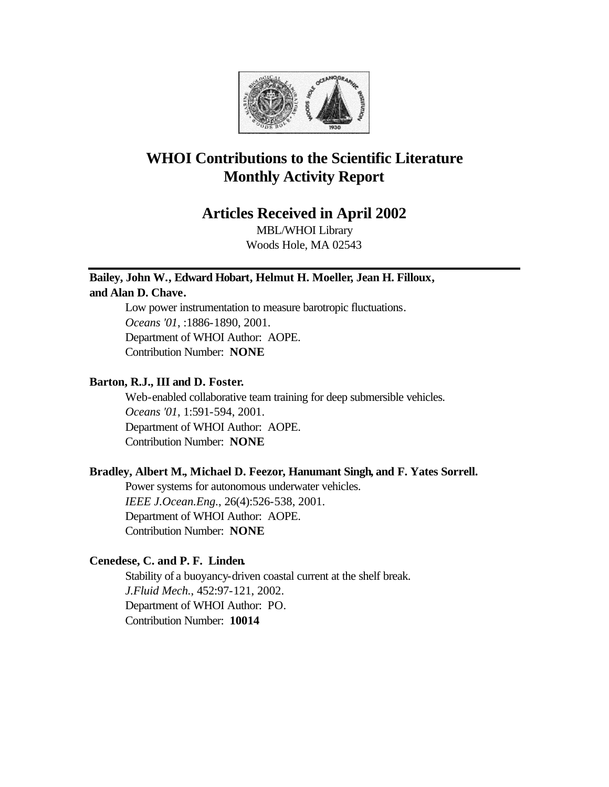

## **WHOI Contributions to the Scientific Literature Monthly Activity Report**

## **Articles Received in April 2002**

MBL/WHOI Library Woods Hole, MA 02543

# **Bailey, John W., Edward Hobart, Helmut H. Moeller, Jean H. Filloux,**

## **and Alan D. Chave.**

Low power instrumentation to measure barotropic fluctuations. *Oceans '01*, :1886-1890, 2001. Department of WHOI Author: AOPE. Contribution Number: **NONE**

## **Barton, R.J., III and D. Foster.**

Web-enabled collaborative team training for deep submersible vehicles. *Oceans '01*, 1:591-594, 2001. Department of WHOI Author: AOPE. Contribution Number: **NONE**

## **Bradley, Albert M., Michael D. Feezor, Hanumant Singh, and F. Yates Sorrell.**

Power systems for autonomous underwater vehicles. *IEEE J.Ocean.Eng.*, 26(4):526-538, 2001. Department of WHOI Author: AOPE. Contribution Number: **NONE**

## **Cenedese, C. and P. F. Linden.**

Stability of a buoyancy-driven coastal current at the shelf break. *J.Fluid Mech.*, 452:97-121, 2002. Department of WHOI Author: PO. Contribution Number: **10014**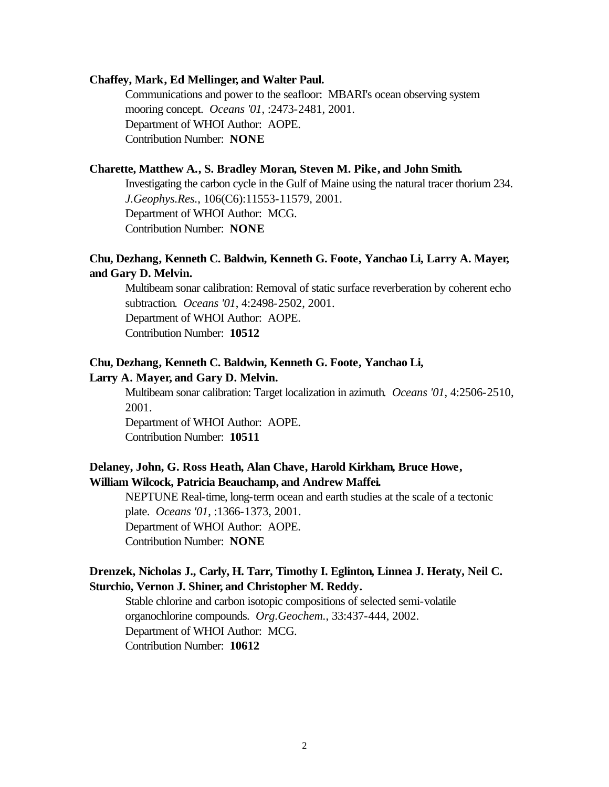#### **Chaffey, Mark, Ed Mellinger, and Walter Paul.**

Communications and power to the seafloor: MBARI's ocean observing system mooring concept. *Oceans '01*, :2473-2481, 2001. Department of WHOI Author: AOPE. Contribution Number: **NONE**

## **Charette, Matthew A., S. Bradley Moran, Steven M. Pike, and John Smith.**

Investigating the carbon cycle in the Gulf of Maine using the natural tracer thorium 234. *J.Geophys.Res.*, 106(C6):11553-11579, 2001. Department of WHOI Author: MCG. Contribution Number: **NONE**

## **Chu, Dezhang, Kenneth C. Baldwin, Kenneth G. Foote, Yanchao Li, Larry A. Mayer, and Gary D. Melvin.**

Multibeam sonar calibration: Removal of static surface reverberation by coherent echo subtraction. *Oceans '01*, 4:2498-2502, 2001. Department of WHOI Author: AOPE.

Contribution Number: **10512**

## **Chu, Dezhang, Kenneth C. Baldwin, Kenneth G. Foote, Yanchao Li, Larry A. Mayer, and Gary D. Melvin.**

Multibeam sonar calibration: Target localization in azimuth. *Oceans '01*, 4:2506-2510, 2001.

Department of WHOI Author: AOPE. Contribution Number: **10511**

## **Delaney, John, G. Ross Heath, Alan Chave, Harold Kirkham, Bruce Howe, William Wilcock, Patricia Beauchamp, and Andrew Maffei.**

NEPTUNE Real-time, long-term ocean and earth studies at the scale of a tectonic plate. *Oceans '01*, :1366-1373, 2001. Department of WHOI Author: AOPE. Contribution Number: **NONE**

## **Drenzek, Nicholas J., Carly, H. Tarr, Timothy I. Eglinton, Linnea J. Heraty, Neil C. Sturchio, Vernon J. Shiner, and Christopher M. Reddy.**

Stable chlorine and carbon isotopic compositions of selected semi-volatile organochlorine compounds. *Org.Geochem.*, 33:437-444, 2002. Department of WHOI Author: MCG. Contribution Number: **10612**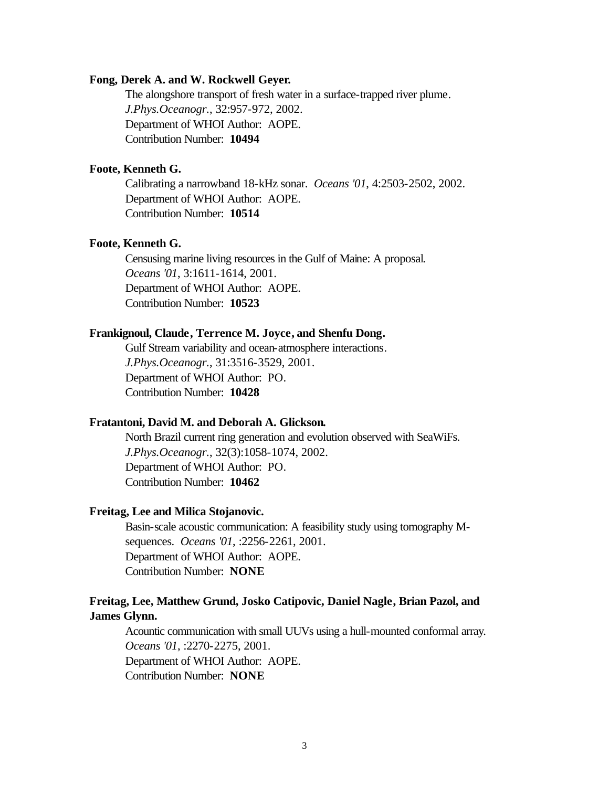#### **Fong, Derek A. and W. Rockwell Geyer.**

The alongshore transport of fresh water in a surface-trapped river plume. *J.Phys.Oceanogr.*, 32:957-972, 2002. Department of WHOI Author: AOPE. Contribution Number: **10494**

## **Foote, Kenneth G.**

Calibrating a narrowband 18-kHz sonar. *Oceans '01*, 4:2503-2502, 2002. Department of WHOI Author: AOPE. Contribution Number: **10514**

#### **Foote, Kenneth G.**

Censusing marine living resources in the Gulf of Maine: A proposal. *Oceans '01*, 3:1611-1614, 2001. Department of WHOI Author: AOPE. Contribution Number: **10523**

#### **Frankignoul, Claude, Terrence M. Joyce, and Shenfu Dong.**

Gulf Stream variability and ocean-atmosphere interactions. *J.Phys.Oceanogr.*, 31:3516-3529, 2001. Department of WHOI Author: PO. Contribution Number: **10428**

#### **Fratantoni, David M. and Deborah A. Glickson.**

North Brazil current ring generation and evolution observed with SeaWiFs. *J.Phys.Oceanogr.*, 32(3):1058-1074, 2002. Department of WHOI Author: PO. Contribution Number: **10462**

#### **Freitag, Lee and Milica Stojanovic.**

Basin-scale acoustic communication: A feasibility study using tomography Msequences. *Oceans '01*, :2256-2261, 2001. Department of WHOI Author: AOPE. Contribution Number: **NONE**

## **Freitag, Lee, Matthew Grund, Josko Catipovic, Daniel Nagle, Brian Pazol, and James Glynn.**

Acountic communication with small UUVs using a hull-mounted conformal array. *Oceans '01*, :2270-2275, 2001. Department of WHOI Author: AOPE. Contribution Number: **NONE**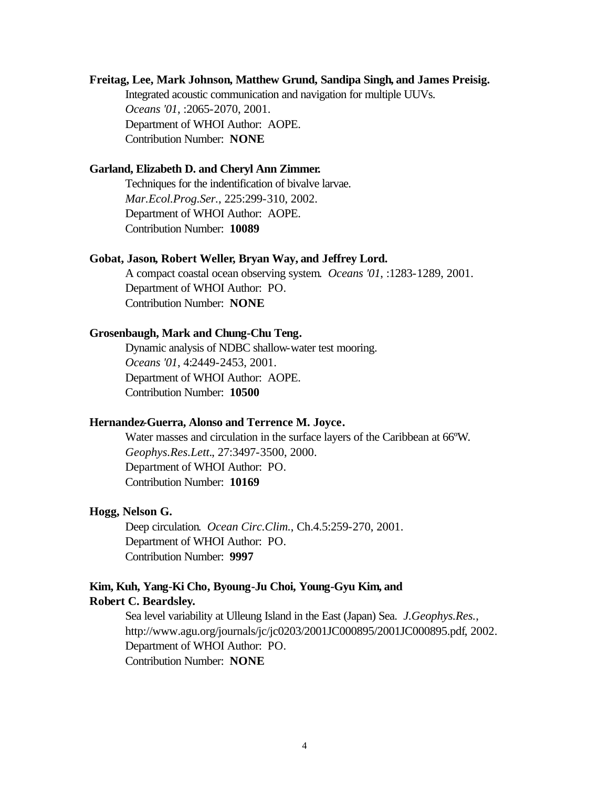## **Freitag, Lee, Mark Johnson, Matthew Grund, Sandipa Singh, and James Preisig.**

Integrated acoustic communication and navigation for multiple UUVs. *Oceans '01*, :2065-2070, 2001. Department of WHOI Author: AOPE. Contribution Number: **NONE**

## **Garland, Elizabeth D. and Cheryl Ann Zimmer.**

Techniques for the indentification of bivalve larvae. *Mar.Ecol.Prog.Ser.*, 225:299-310, 2002. Department of WHOI Author: AOPE. Contribution Number: **10089**

#### **Gobat, Jason, Robert Weller, Bryan Way, and Jeffrey Lord.**

A compact coastal ocean observing system. *Oceans '01*, :1283-1289, 2001. Department of WHOI Author: PO. Contribution Number: **NONE**

## **Grosenbaugh, Mark and Chung-Chu Teng.**

Dynamic analysis of NDBC shallow-water test mooring. *Oceans '01*, 4:2449-2453, 2001. Department of WHOI Author: AOPE. Contribution Number: **10500**

#### **Hernandez-Guerra, Alonso and Terrence M. Joyce.**

Water masses and circulation in the surface layers of the Caribbean at 66ºW. *Geophys.Res.Lett.*, 27:3497-3500, 2000. Department of WHOI Author: PO. Contribution Number: **10169**

#### **Hogg, Nelson G.**

Deep circulation. *Ocean Circ.Clim.*, Ch.4.5:259-270, 2001. Department of WHOI Author: PO. Contribution Number: **9997**

## **Kim, Kuh, Yang-Ki Cho, Byoung-Ju Choi, Young-Gyu Kim, and Robert C. Beardsley.**

Sea level variability at Ulleung Island in the East (Japan) Sea. *J.Geophys.Res.*, http://www.agu.org/journals/jc/jc0203/2001JC000895/2001JC000895.pdf, 2002. Department of WHOI Author: PO. Contribution Number: **NONE**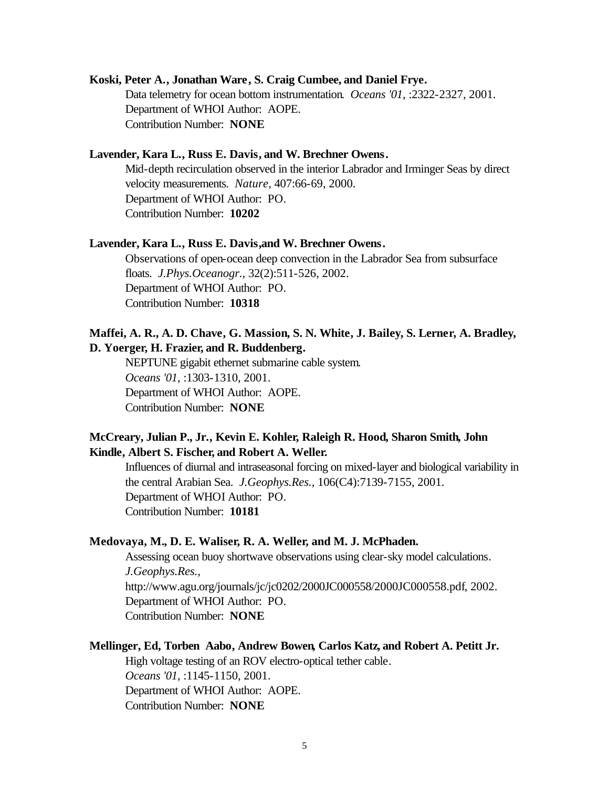#### **Koski, Peter A., Jonathan Ware, S. Craig Cumbee, and Daniel Frye.**

Data telemetry for ocean bottom instrumentation. *Oceans '01*, :2322-2327, 2001. Department of WHOI Author: AOPE. Contribution Number: **NONE**

#### **Lavender, Kara L., Russ E. Davis, and W. Brechner Owens.**

Mid-depth recirculation observed in the interior Labrador and Irminger Seas by direct velocity measurements. *Nature*, 407:66-69, 2000. Department of WHOI Author: PO. Contribution Number: **10202**

#### **Lavender, Kara L., Russ E. Davis,and W. Brechner Owens.**

Observations of open-ocean deep convection in the Labrador Sea from subsurface floats. *J.Phys.Oceanogr.*, 32(2):511-526, 2002. Department of WHOI Author: PO. Contribution Number: **10318**

## **Maffei, A. R., A. D. Chave, G. Massion, S. N. White, J. Bailey, S. Lerner, A. Bradley, D. Yoerger, H. Frazier, and R. Buddenberg.**

NEPTUNE gigabit ethernet submarine cable system. *Oceans '01*, :1303-1310, 2001. Department of WHOI Author: AOPE. Contribution Number: **NONE**

## **McCreary, Julian P., Jr., Kevin E. Kohler, Raleigh R. Hood, Sharon Smith, John Kindle, Albert S. Fischer, and Robert A. Weller.**

Influences of diurnal and intraseasonal forcing on mixed-layer and biological variability in the central Arabian Sea. *J.Geophys.Res.*, 106(C4):7139-7155, 2001. Department of WHOI Author: PO. Contribution Number: **10181**

#### **Medovaya, M., D. E. Waliser, R. A. Weller, and M. J. McPhaden.**

Assessing ocean buoy shortwave observations using clear-sky model calculations. *J.Geophys.Res.*, http://www.agu.org/journals/jc/jc0202/2000JC000558/2000JC000558.pdf, 2002. Department of WHOI Author: PO. Contribution Number: **NONE**

#### **Mellinger, Ed, Torben Aabo, Andrew Bowen, Carlos Katz, and Robert A. Petitt Jr.**

High voltage testing of an ROV electro-optical tether cable. *Oceans '01*, :1145-1150, 2001. Department of WHOI Author: AOPE. Contribution Number: **NONE**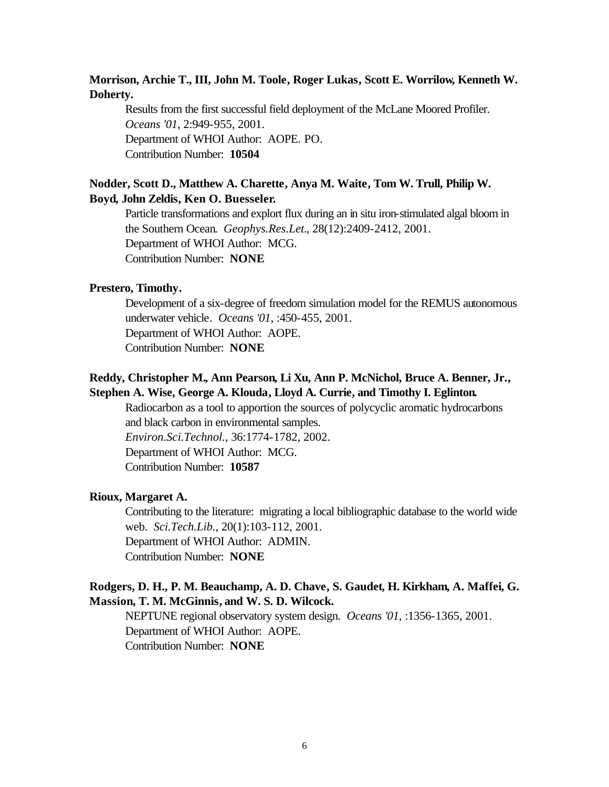## **Morrison, Archie T., III, John M. Toole, Roger Lukas, Scott E. Worrilow, Kenneth W. Doherty.**

Results from the first successful field deployment of the McLane Moored Profiler. *Oceans '01*, 2:949-955, 2001. Department of WHOI Author: AOPE. PO. Contribution Number: **10504**

## **Nodder, Scott D., Matthew A. Charette, Anya M. Waite, Tom W. Trull, Philip W. Boyd, John Zeldis, Ken O. Buesseler.**

Particle transformations and explort flux during an in situ iron-stimulated algal bloom in the Southern Ocean. *Geophys.Res.Let.*, 28(12):2409-2412, 2001. Department of WHOI Author: MCG. Contribution Number: **NONE**

## **Prestero, Timothy.**

Development of a six-degree of freedom simulation model for the REMUS autonomous underwater vehicle. *Oceans '01*, :450-455, 2001. Department of WHOI Author: AOPE. Contribution Number: **NONE**

## **Reddy, Christopher M., Ann Pearson, Li Xu, Ann P. McNichol, Bruce A. Benner, Jr., Stephen A. Wise, George A. Klouda, Lloyd A. Currie, and Timothy I. Eglinton.**

Radiocarbon as a tool to apportion the sources of polycyclic aromatic hydrocarbons and black carbon in environmental samples. *Environ.Sci.Technol.*, 36:1774-1782, 2002. Department of WHOI Author: MCG. Contribution Number: **10587**

#### **Rioux, Margaret A.**

Contributing to the literature: migrating a local bibliographic database to the world wide web. *Sci.Tech.Lib.*, 20(1):103-112, 2001. Department of WHOI Author: ADMIN. Contribution Number: **NONE**

## **Rodgers, D. H., P. M. Beauchamp, A. D. Chave, S. Gaudet, H. Kirkham, A. Maffei, G. Massion, T. M. McGinnis, and W. S. D. Wilcock.**

NEPTUNE regional observatory system design. *Oceans '01*, :1356-1365, 2001. Department of WHOI Author: AOPE. Contribution Number: **NONE**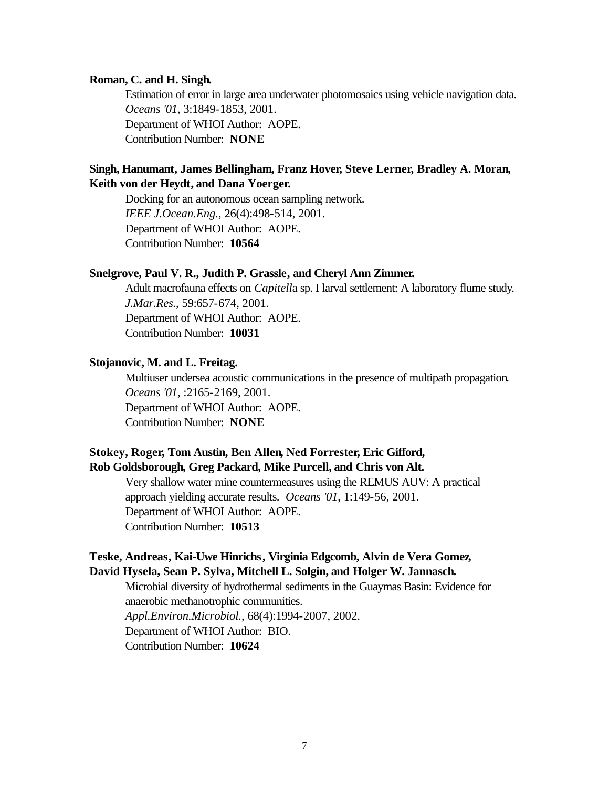#### **Roman, C. and H. Singh.**

Estimation of error in large area underwater photomosaics using vehicle navigation data. *Oceans '01*, 3:1849-1853, 2001. Department of WHOI Author: AOPE. Contribution Number: **NONE**

## **Singh, Hanumant, James Bellingham, Franz Hover, Steve Lerner, Bradley A. Moran, Keith von der Heydt, and Dana Yoerger.**

Docking for an autonomous ocean sampling network. *IEEE J.Ocean.Eng.*, 26(4):498-514, 2001. Department of WHOI Author: AOPE. Contribution Number: **10564**

#### **Snelgrove, Paul V. R., Judith P. Grassle, and Cheryl Ann Zimmer.**

Adult macrofauna effects on *Capitell*a sp. I larval settlement: A laboratory flume study. *J.Mar.Res.*, 59:657-674, 2001. Department of WHOI Author: AOPE. Contribution Number: **10031**

## **Stojanovic, M. and L. Freitag.**

Multiuser undersea acoustic communications in the presence of multipath propagation. *Oceans '01*, :2165-2169, 2001. Department of WHOI Author: AOPE. Contribution Number: **NONE**

## **Stokey, Roger, Tom Austin, Ben Allen, Ned Forrester, Eric Gifford, Rob Goldsborough, Greg Packard, Mike Purcell, and Chris von Alt.**

Very shallow water mine countermeasures using the REMUS AUV: A practical approach yielding accurate results. *Oceans '01*, 1:149-56, 2001. Department of WHOI Author: AOPE. Contribution Number: **10513**

## **Teske, Andreas, Kai-Uwe Hinrichs, Virginia Edgcomb, Alvin de Vera Gomez, David Hysela, Sean P. Sylva, Mitchell L. Solgin, and Holger W. Jannasch.**

Microbial diversity of hydrothermal sediments in the Guaymas Basin: Evidence for anaerobic methanotrophic communities. *Appl.Environ.Microbiol.*, 68(4):1994-2007, 2002. Department of WHOI Author: BIO. Contribution Number: **10624**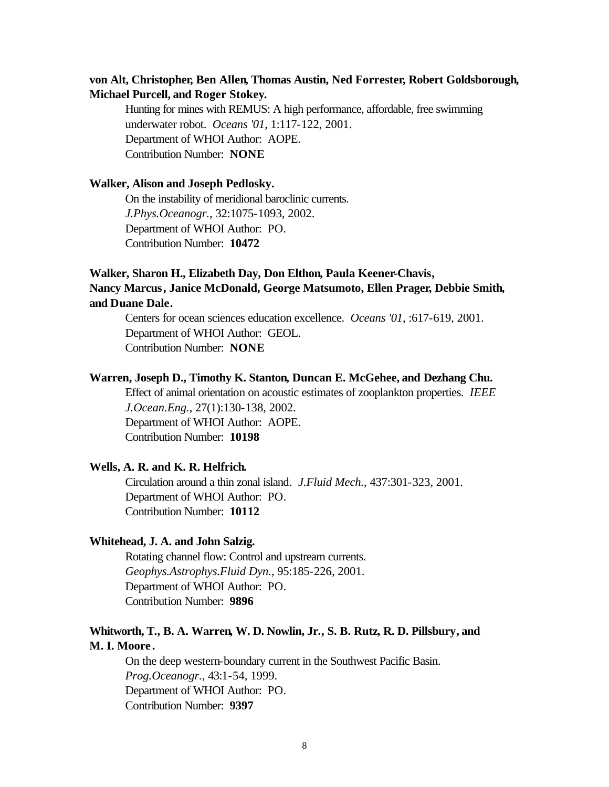## **von Alt, Christopher, Ben Allen, Thomas Austin, Ned Forrester, Robert Goldsborough, Michael Purcell, and Roger Stokey.**

Hunting for mines with REMUS: A high performance, affordable, free swimming underwater robot. *Oceans '01*, 1:117-122, 2001. Department of WHOI Author: AOPE. Contribution Number: **NONE**

#### **Walker, Alison and Joseph Pedlosky.**

On the instability of meridional baroclinic currents. *J.Phys.Oceanogr.*, 32:1075-1093, 2002. Department of WHOI Author: PO. Contribution Number: **10472**

## **Walker, Sharon H., Elizabeth Day, Don Elthon, Paula Keener-Chavis, Nancy Marcus, Janice McDonald, George Matsumoto, Ellen Prager, Debbie Smith, and Duane Dale.**

Centers for ocean sciences education excellence. *Oceans '01*, :617-619, 2001. Department of WHOI Author: GEOL. Contribution Number: **NONE**

#### **Warren, Joseph D., Timothy K. Stanton, Duncan E. McGehee, and Dezhang Chu.**

Effect of animal orientation on acoustic estimates of zooplankton properties. *IEEE J.Ocean.Eng.*, 27(1):130-138, 2002. Department of WHOI Author: AOPE. Contribution Number: **10198**

## **Wells, A. R. and K. R. Helfrich.**

Circulation around a thin zonal island. *J.Fluid Mech.*, 437:301-323, 2001. Department of WHOI Author: PO. Contribution Number: **10112**

#### **Whitehead, J. A. and John Salzig.**

Rotating channel flow: Control and upstream currents. *Geophys.Astrophys.Fluid Dyn.*, 95:185-226, 2001. Department of WHOI Author: PO. Contribution Number: **9896**

## **Whitworth, T., B. A. Warren, W. D. Nowlin, Jr., S. B. Rutz, R. D. Pillsbury, and M. I. Moore .**

On the deep western-boundary current in the Southwest Pacific Basin. *Prog.Oceanogr.*, 43:1-54, 1999. Department of WHOI Author: PO. Contribution Number: **9397**